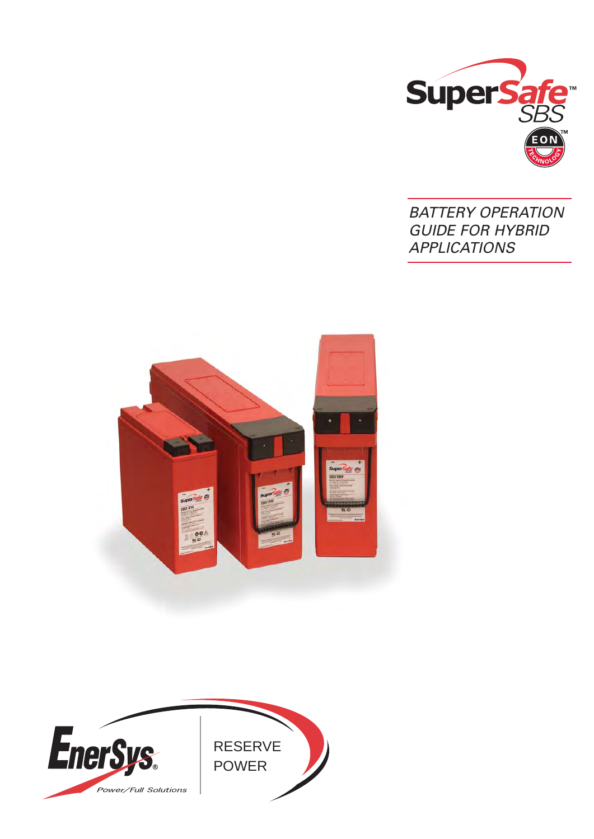

# BATTERY OPERATION GUIDE FOR HYBRID **APPLICATIONS**



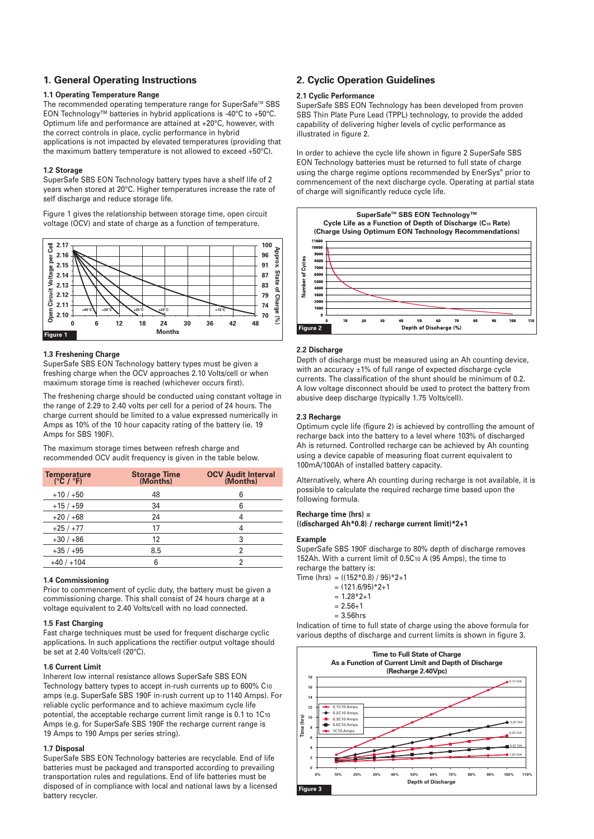## **1. General Operating Instructions**

#### **1.1 Operating Temperature Range**

The recommended operating temperature range for SuperSafe™ SBS EON Technology™ batteries in hybrid applications is -40°C to +50°C. Optimum life and performance are attained at +20°C, however, with the correct controls in place, cyclic performance in hybrid applications is not impacted by elevated temperatures (providing that the maximum battery temperature is not allowed to exceed +50°C).

#### **1.2 Storage**

SuperSafe SBS EON Technology battery types have a shelf life of 2 years when stored at 20°C. Higher temperatures increase the rate of self discharge and reduce storage life.

Figure 1 gives the relationship between storage time, open circuit voltage (OCV) and state of charge as a function of temperature.



#### **1.3 Freshening Charge**

SuperSafe SBS EON Technology battery types must be given a freshing charge when the OCV approaches 2.10 Volts/cell or when maximum storage time is reached (whichever occurs first).

The freshening charge should be conducted using constant voltage in the range of 2.29 to 2.40 volts per cell for a period of 24 hours. The charge current should be limited to a value expressed numerically in Amps as 10% of the 10 hour capacity rating of the battery (ie. 19 Amps for SBS 190F).

The maximum storage times between refresh charge and recommended OCV audit frequency is given in the table below.

| Temperature<br>(°C / °F) | <b>Storage Time</b><br>(Months) | <b>OCV Audit Interval</b><br>(Months) |
|--------------------------|---------------------------------|---------------------------------------|
| $+10/+50$                | 48                              | 6                                     |
| $+15/+59$                | 34                              | 6                                     |
| $+20/+68$                | 24                              |                                       |
| $+25/+77$                | 17                              |                                       |
| $+30/+86$                | 12                              | 3                                     |
| $+35/+95$                | 8.5                             |                                       |
| $+40/+104$               | 6                               |                                       |

#### **1.4 Commissioning**

Prior to commencement of cyclic duty, the battery must be given a commissioning charge. This shall consist of 24 hours charge at a voltage equivalent to 2.40 Volts/cell with no load connected.

#### **1.5 Fast Charging**

Fast charge techniques must be used for frequent discharge cyclic applications. In such applications the rectifier output voltage should be set at 2.40 Volts/cell (20°C).

#### **1.6 Current Limit**

Inherent low internal resistance allows SuperSafe SBS EON Technology battery types to accept in-rush currents up to 600% C10 amps (e.g. SuperSafe SBS 190F in-rush current up to 1140 Amps). For reliable cyclic performance and to achieve maximum cycle life potential, the acceptable recharge current limit range is 0.1 to 1C10 Amps (e.g. for SuperSafe SBS 190F the recharge current range is 19 Amps to 190 Amps per series string).

#### **1.7 Disposal**

SuperSafe SBS EON Technology batteries are recyclable. End of life batteries must be packaged and transported according to prevailing transportation rules and regulations. End of life batteries must be disposed of in compliance with local and national laws by a licensed battery recycler.

## **2. Cyclic Operation Guidelines**

#### **2.1 Cyclic Performance**

SuperSafe SBS EON Technology has been developed from proven SBS Thin Plate Pure Lead (TPPL) technology, to provide the added capability of delivering higher levels of cyclic performance as illustrated in figure 2.

In order to achieve the cycle life shown in figure 2 SuperSafe SBS EON Technology batteries must be returned to full state of charge using the charge regime options recommended by EnerSys® prior to commencement of the next discharge cycle. Operating at partial state of charge will significantly reduce cycle life.



#### **2.2 Discharge**

Depth of discharge must be measured using an Ah counting device, with an accuracy ±1% of full range of expected discharge cycle currents. The classification of the shunt should be minimum of 0.2. A low voltage disconnect should be used to protect the battery from abusive deep discharge (typically 1.75 Volts/cell).

#### **2.3 Recharge**

Optimum cycle life (figure 2) is achieved by controlling the amount of recharge back into the battery to a level where 103% of discharged Ah is returned. Controlled recharge can be achieved by Ah counting using a device capable of measuring float current equivalent to 100mA/100Ah of installed battery capacity.

Alternatively, where Ah counting during recharge is not available, it is possible to calculate the required recharge time based upon the following formula.

#### **Recharge time (hrs) =**

**((discharged Ah\*0.8) / recharge current limit)\*2+1**

#### **Example**

SuperSafe SBS 190F discharge to 80% depth of discharge removes 152Ah. With a current limit of 0.5C10 A (95 Amps), the time to recharge the battery is:

Time (hrs) =  $((152*0.8) / 95)*2+1$  $= (121.6/95) * 2 + 1$ 

- $= 1.28 * 2 + 1$
- $= 2.56 + 1$
- = 3.56hrs

Indication of time to full state of charge using the above formula for various depths of discharge and current limits is shown in figure 3.

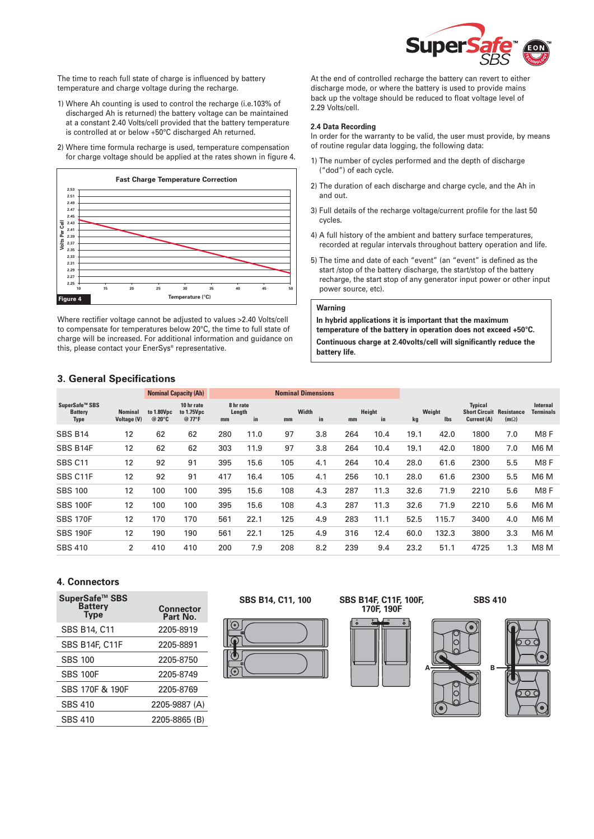

The time to reach full state of charge is influenced by battery temperature and charge voltage during the recharge.

- 1) Where Ah counting is used to control the recharge (i.e.103% of discharged Ah is returned) the battery voltage can be maintained at a constant 2.40 Volts/cell provided that the battery temperature is controlled at or below +50°C discharged Ah returned.
- 2) Where time formula recharge is used, temperature compensation for charge voltage should be applied at the rates shown in figure 4.



Where rectifier voltage cannot be adjusted to values >2.40 Volts/cell to compensate for temperatures below 20°C, the time to full state of charge will be increased. For additional information and guidance on this, please contact your EnerSys® representative.

At the end of controlled recharge the battery can revert to either discharge mode, or where the battery is used to provide mains back up the voltage should be reduced to float voltage level of 2.29 Volts/cell.

#### **2.4 Data Recording**

In order for the warranty to be valid, the user must provide, by means of routine regular data logging, the following data:

- 1) The number of cycles performed and the depth of discharge ("dod") of each cycle.
- 2) The duration of each discharge and charge cycle, and the Ah in and out.
- 3) Full details of the recharge voltage/current profile for the last 50 cycles.
- 4) A full history of the ambient and battery surface temperatures, recorded at regular intervals throughout battery operation and life.
- 5) The time and date of each "event" (an "event" is defined as the start /stop of the battery discharge, the start/stop of the battery recharge, the start stop of any generator input power or other input power source, etc).

#### **Warning**

**In hybrid applications it is important that the maximum temperature of the battery in operation does not exceed +50°C. Continuous charge at 2.40volts/cell will significantly reduce the battery life.**

### **3. General Specifications**

|                                                 |                                      | <b>Nominal Capacity (Ah)</b> |                                            | <b>Nominal Dimensions</b> |                           |     |             |     |              |      |               |                                                       |                                  |                              |
|-------------------------------------------------|--------------------------------------|------------------------------|--------------------------------------------|---------------------------|---------------------------|-----|-------------|-----|--------------|------|---------------|-------------------------------------------------------|----------------------------------|------------------------------|
| SuperSafe™ SBS<br><b>Battery</b><br><b>Type</b> | <b>Nominal</b><br><b>Voltage (V)</b> | to 1.80Vpc<br>@ 20°C         | 10 hr rate<br>to 1.75Vpc<br>$@77^{\circ}F$ | mm                        | 8 hr rate<br>Length<br>in | mm  | Width<br>in | mm  | Height<br>in | kg   | Weight<br>lbs | <b>Typical</b><br><b>Short Circuit</b><br>Current (A) | <b>Resistance</b><br>$(m\Omega)$ | Internal<br><b>Terminals</b> |
| <b>SBS B14</b>                                  | 12                                   | 62                           | 62                                         | 280                       | 11.0                      | 97  | 3.8         | 264 | 10.4         | 19.1 | 42.0          | 1800                                                  | 7.0                              | M <sub>8</sub> F             |
| SBS B14F                                        | 12                                   | 62                           | 62                                         | 303                       | 11.9                      | 97  | 3.8         | 264 | 10.4         | 19.1 | 42.0          | 1800                                                  | 7.0                              | M <sub>6</sub> M             |
| SBS <sub>C11</sub>                              | 12                                   | 92                           | 91                                         | 395                       | 15.6                      | 105 | 4.1         | 264 | 10.4         | 28.0 | 61.6          | 2300                                                  | 5.5                              | M <sub>8</sub> F             |
| SBS C11F                                        | 12                                   | 92                           | 91                                         | 417                       | 16.4                      | 105 | 4.1         | 256 | 10.1         | 28.0 | 61.6          | 2300                                                  | 5.5                              | M <sub>6</sub> M             |
| <b>SBS 100</b>                                  | 12                                   | 100                          | 100                                        | 395                       | 15.6                      | 108 | 4.3         | 287 | 11.3         | 32.6 | 71.9          | 2210                                                  | 5.6                              | M <sub>8</sub> F             |
| <b>SBS 100F</b>                                 | 12                                   | 100                          | 100                                        | 395                       | 15.6                      | 108 | 4.3         | 287 | 11.3         | 32.6 | 71.9          | 2210                                                  | 5.6                              | M <sub>6</sub> M             |
| <b>SBS 170F</b>                                 | 12                                   | 170                          | 170                                        | 561                       | 22.1                      | 125 | 4.9         | 283 | 11.1         | 52.5 | 115.7         | 3400                                                  | 4.0                              | M <sub>6</sub> M             |
| <b>SBS 190F</b>                                 | 12                                   | 190                          | 190                                        | 561                       | 22.1                      | 125 | 4.9         | 316 | 12.4         | 60.0 | 132.3         | 3800                                                  | 3.3                              | M <sub>6</sub> M             |
| <b>SBS 410</b>                                  | 2                                    | 410                          | 410                                        | 200                       | 7.9                       | 208 | 8.2         | 239 | 9.4          | 23.2 | 51.1          | 4725                                                  | 1.3                              | M8 <sub>M</sub>              |

## **4. Connectors**

| SuperSafe <sup>™</sup> SBS<br>Battery<br><b>Type</b> | <b>Connector</b><br>Part No. |
|------------------------------------------------------|------------------------------|
| <b>SBS B14, C11</b>                                  | 2205-8919                    |
| <b>SBS B14F, C11F</b>                                | 2205-8891                    |
| <b>SBS 100</b>                                       | 2205-8750                    |
| <b>SBS 100F</b>                                      | 2205-8749                    |
| SBS 170F & 190F                                      | 2205-8769                    |
| <b>SBS 410</b>                                       | 2205-9887 (A)                |
| <b>SBS 410</b>                                       | 2205-8865 (B)                |
|                                                      |                              |



**SBS B14, C11, 100 SBS B14F, C11F, 100F, 170F, 190F**